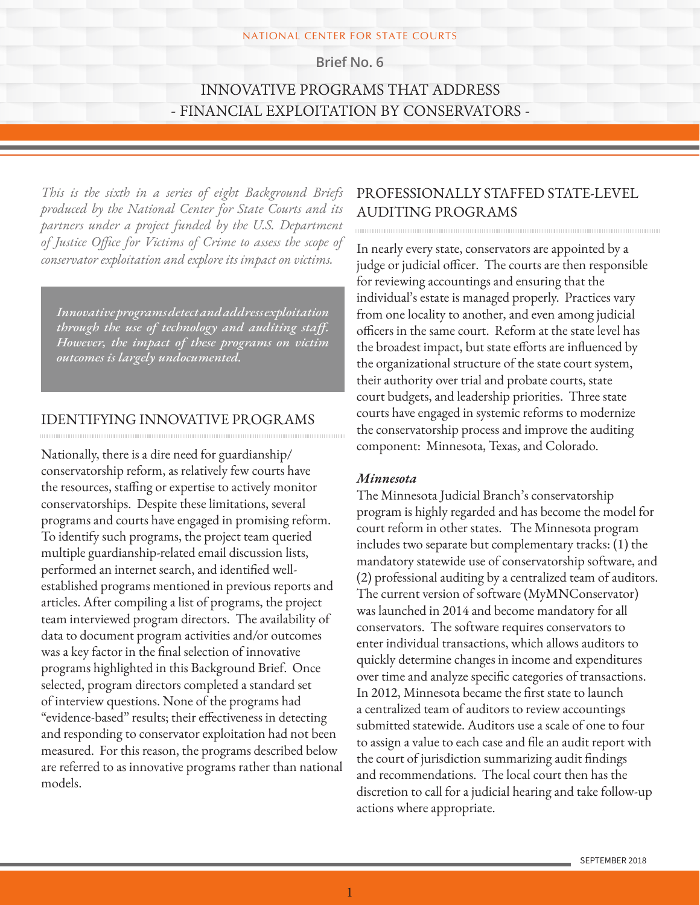#### NATIONAL CENTER FOR STATE COURTS

**Brief No. 6**

# INNOVATIVE PROGRAMS THAT ADDRESS - FINANCIAL EXPLOITATION BY CONSERVATORS -

*This is the sixth in a series of eight Background Briefs produced by the National Center for State Courts and its partners under a project funded by the U.S. Department of Justice Office for Victims of Crime to assess the scope of conservator exploitation and explore its impact on victims.*

*Innovative programs detect and address exploitation through the use of technology and auditing staff. However, the impact of these programs on victim outcomes is largely undocumented.*

### IDENTIFYING INNOVATIVE PROGRAMS

Nationally, there is a dire need for guardianship/ conservatorship reform, as relatively few courts have the resources, staffing or expertise to actively monitor conservatorships. Despite these limitations, several programs and courts have engaged in promising reform. To identify such programs, the project team queried multiple guardianship-related email discussion lists, performed an internet search, and identified wellestablished programs mentioned in previous reports and articles. After compiling a list of programs, the project team interviewed program directors. The availability of data to document program activities and/or outcomes was a key factor in the final selection of innovative programs highlighted in this Background Brief. Once selected, program directors completed a standard set of interview questions. None of the programs had "evidence-based" results; their effectiveness in detecting and responding to conservator exploitation had not been measured. For this reason, the programs described below are referred to as innovative programs rather than national models.

# PROFESSIONALLY STAFFED STATE-LEVEL AUDITING PROGRAMS

In nearly every state, conservators are appointed by a judge or judicial officer. The courts are then responsible for reviewing accountings and ensuring that the individual's estate is managed properly. Practices vary from one locality to another, and even among judicial officers in the same court. Reform at the state level has the broadest impact, but state efforts are influenced by the organizational structure of the state court system, their authority over trial and probate courts, state court budgets, and leadership priorities. Three state courts have engaged in systemic reforms to modernize the conservatorship process and improve the auditing component: Minnesota, Texas, and Colorado.

### *Minnesota*

The Minnesota Judicial Branch's conservatorship program is highly regarded and has become the model for court reform in other states. The Minnesota program includes two separate but complementary tracks: (1) the mandatory statewide use of conservatorship software, and (2) professional auditing by a centralized team of auditors. The current version of software (MyMNConservator) was launched in 2014 and become mandatory for all conservators. The software requires conservators to enter individual transactions, which allows auditors to quickly determine changes in income and expenditures over time and analyze specific categories of transactions. In 2012, Minnesota became the first state to launch a centralized team of auditors to review accountings submitted statewide. Auditors use a scale of one to four to assign a value to each case and file an audit report with the court of jurisdiction summarizing audit findings and recommendations. The local court then has the discretion to call for a judicial hearing and take follow-up actions where appropriate.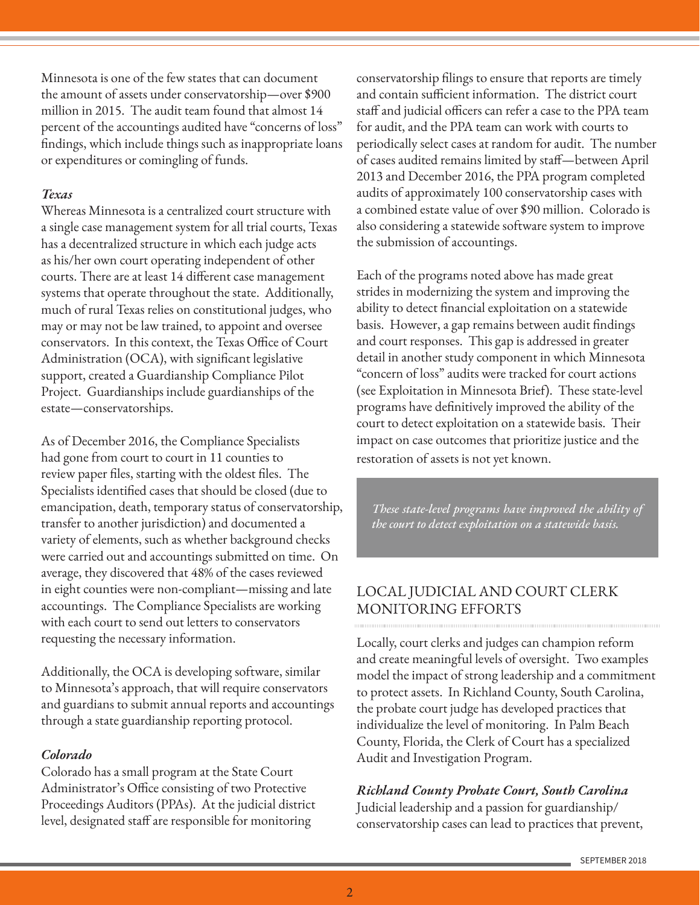Minnesota is one of the few states that can document the amount of assets under conservatorship—over \$900 million in 2015. The audit team found that almost 14 percent of the accountings audited have "concerns of loss" findings, which include things such as inappropriate loans or expenditures or comingling of funds.

### *Texas*

Whereas Minnesota is a centralized court structure with a single case management system for all trial courts, Texas has a decentralized structure in which each judge acts as his/her own court operating independent of other courts. There are at least 14 different case management systems that operate throughout the state. Additionally, much of rural Texas relies on constitutional judges, who may or may not be law trained, to appoint and oversee conservators. In this context, the Texas Office of Court Administration (OCA), with significant legislative support, created a Guardianship Compliance Pilot Project. Guardianships include guardianships of the estate—conservatorships.

As of December 2016, the Compliance Specialists had gone from court to court in 11 counties to review paper files, starting with the oldest files. The Specialists identified cases that should be closed (due to emancipation, death, temporary status of conservatorship, transfer to another jurisdiction) and documented a variety of elements, such as whether background checks were carried out and accountings submitted on time. On average, they discovered that 48% of the cases reviewed in eight counties were non-compliant—missing and late accountings. The Compliance Specialists are working with each court to send out letters to conservators requesting the necessary information.

Additionally, the OCA is developing software, similar to Minnesota's approach, that will require conservators and guardians to submit annual reports and accountings through a state guardianship reporting protocol.

### *Colorado*

Colorado has a small program at the State Court Administrator's Office consisting of two Protective Proceedings Auditors (PPAs). At the judicial district level, designated staff are responsible for monitoring

conservatorship filings to ensure that reports are timely and contain sufficient information. The district court staff and judicial officers can refer a case to the PPA team for audit, and the PPA team can work with courts to periodically select cases at random for audit. The number of cases audited remains limited by staff—between April 2013 and December 2016, the PPA program completed audits of approximately 100 conservatorship cases with a combined estate value of over \$90 million. Colorado is also considering a statewide software system to improve the submission of accountings.

Each of the programs noted above has made great strides in modernizing the system and improving the ability to detect financial exploitation on a statewide basis. However, a gap remains between audit findings and court responses. This gap is addressed in greater detail in another study component in which Minnesota "concern of loss" audits were tracked for court actions (see Exploitation in Minnesota Brief). These state-level programs have definitively improved the ability of the court to detect exploitation on a statewide basis. Their impact on case outcomes that prioritize justice and the restoration of assets is not yet known.

*These state-level programs have improved the ability of the court to detect exploitation on a statewide basis.* 

# LOCAL JUDICIAL AND COURT CLERK MONITORING EFFORTS

Locally, court clerks and judges can champion reform and create meaningful levels of oversight. Two examples model the impact of strong leadership and a commitment to protect assets. In Richland County, South Carolina, the probate court judge has developed practices that individualize the level of monitoring. In Palm Beach County, Florida, the Clerk of Court has a specialized Audit and Investigation Program.

# *Richland County Probate Court, South Carolina*

Judicial leadership and a passion for guardianship/ conservatorship cases can lead to practices that prevent,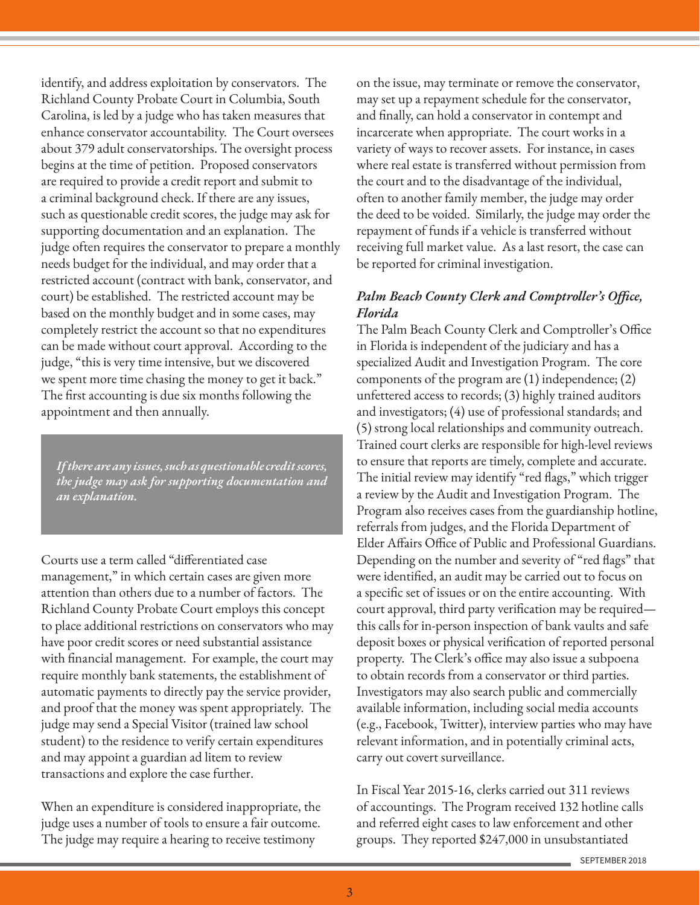identify, and address exploitation by conservators. The Richland County Probate Court in Columbia, South Carolina, is led by a judge who has taken measures that enhance conservator accountability. The Court oversees about 379 adult conservatorships. The oversight process begins at the time of petition. Proposed conservators are required to provide a credit report and submit to a criminal background check. If there are any issues, such as questionable credit scores, the judge may ask for supporting documentation and an explanation. The judge often requires the conservator to prepare a monthly needs budget for the individual, and may order that a restricted account (contract with bank, conservator, and court) be established. The restricted account may be based on the monthly budget and in some cases, may completely restrict the account so that no expenditures can be made without court approval. According to the judge, "this is very time intensive, but we discovered we spent more time chasing the money to get it back." The first accounting is due six months following the appointment and then annually.

*If there are any issues, such as questionable credit scores, the judge may ask for supporting documentation and an explanation.*

Courts use a term called "differentiated case management," in which certain cases are given more attention than others due to a number of factors. The Richland County Probate Court employs this concept to place additional restrictions on conservators who may have poor credit scores or need substantial assistance with financial management. For example, the court may require monthly bank statements, the establishment of automatic payments to directly pay the service provider, and proof that the money was spent appropriately. The judge may send a Special Visitor (trained law school student) to the residence to verify certain expenditures and may appoint a guardian ad litem to review transactions and explore the case further.

When an expenditure is considered inappropriate, the judge uses a number of tools to ensure a fair outcome. The judge may require a hearing to receive testimony

on the issue, may terminate or remove the conservator, may set up a repayment schedule for the conservator, and finally, can hold a conservator in contempt and incarcerate when appropriate. The court works in a variety of ways to recover assets. For instance, in cases where real estate is transferred without permission from the court and to the disadvantage of the individual, often to another family member, the judge may order the deed to be voided. Similarly, the judge may order the repayment of funds if a vehicle is transferred without receiving full market value. As a last resort, the case can be reported for criminal investigation.

### *Palm Beach County Clerk and Comptroller's Office, Florida*

The Palm Beach County Clerk and Comptroller's Office in Florida is independent of the judiciary and has a specialized Audit and Investigation Program. The core components of the program are (1) independence; (2) unfettered access to records; (3) highly trained auditors and investigators; (4) use of professional standards; and (5) strong local relationships and community outreach. Trained court clerks are responsible for high-level reviews to ensure that reports are timely, complete and accurate. The initial review may identify "red flags," which trigger a review by the Audit and Investigation Program. The Program also receives cases from the guardianship hotline, referrals from judges, and the Florida Department of Elder Affairs Office of Public and Professional Guardians. Depending on the number and severity of "red flags" that were identified, an audit may be carried out to focus on a specific set of issues or on the entire accounting. With court approval, third party verification may be required this calls for in-person inspection of bank vaults and safe deposit boxes or physical verification of reported personal property. The Clerk's office may also issue a subpoena to obtain records from a conservator or third parties. Investigators may also search public and commercially available information, including social media accounts (e.g., Facebook, Twitter), interview parties who may have relevant information, and in potentially criminal acts, carry out covert surveillance.

In Fiscal Year 2015-16, clerks carried out 311 reviews of accountings. The Program received 132 hotline calls and referred eight cases to law enforcement and other groups. They reported \$247,000 in unsubstantiated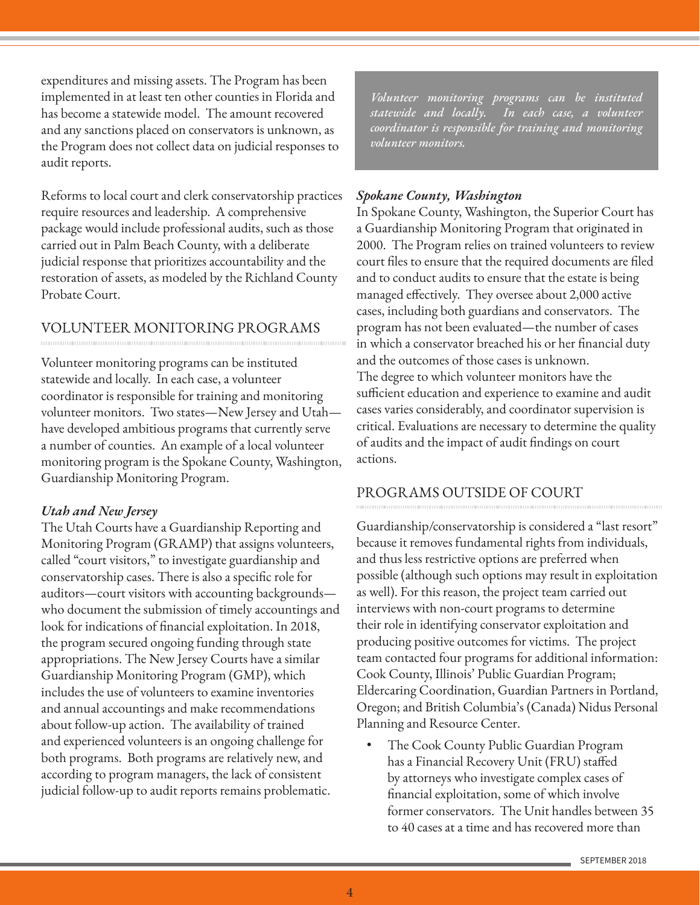expenditures and missing assets. The Program has been implemented in at least ten other counties in Florida and has become a statewide model. The amount recovered and any sanctions placed on conservators is unknown, as the Program does not collect data on judicial responses to audit reports.

Reforms to local court and clerk conservatorship practices require resources and leadership. A comprehensive package would include professional audits, such as those carried out in Palm Beach County, with a deliberate judicial response that prioritizes accountability and the restoration of assets, as modeled by the Richland County Probate Court.

# VOLUNTEER MONITORING PROGRAMS

Volunteer monitoring programs can be instituted statewide and locally. In each case, a volunteer coordinator is responsible for training and monitoring volunteer monitors. Two states—New Jersey and Utah have developed ambitious programs that currently serve a number of counties. An example of a local volunteer monitoring program is the Spokane County, Washington, Guardianship Monitoring Program.

## *Utah and New Jersey*

The Utah Courts have a Guardianship Reporting and Monitoring Program (GRAMP) that assigns volunteers, called "court visitors," to investigate guardianship and conservatorship cases. There is also a specific role for auditors—court visitors with accounting backgrounds who document the submission of timely accountings and look for indications of financial exploitation. In 2018, the program secured ongoing funding through state appropriations. The New Jersey Courts have a similar Guardianship Monitoring Program (GMP), which includes the use of volunteers to examine inventories and annual accountings and make recommendations about follow-up action. The availability of trained and experienced volunteers is an ongoing challenge for both programs. Both programs are relatively new, and according to program managers, the lack of consistent judicial follow-up to audit reports remains problematic.

*Volunteer monitoring programs can be instituted statewide and locally. In each case, a volunteer coordinator is responsible for training and monitoring volunteer monitors.*

### *Spokane County, Washington*

In Spokane County, Washington, the Superior Court has a Guardianship Monitoring Program that originated in 2000. The Program relies on trained volunteers to review court files to ensure that the required documents are filed and to conduct audits to ensure that the estate is being managed effectively. They oversee about 2,000 active cases, including both guardians and conservators. The program has not been evaluated—the number of cases in which a conservator breached his or her financial duty and the outcomes of those cases is unknown. The degree to which volunteer monitors have the sufficient education and experience to examine and audit cases varies considerably, and coordinator supervision is critical. Evaluations are necessary to determine the quality of audits and the impact of audit findings on court actions.

## PROGRAMS OUTSIDE OF COURT

Guardianship/conservatorship is considered a "last resort" because it removes fundamental rights from individuals, and thus less restrictive options are preferred when possible (although such options may result in exploitation as well). For this reason, the project team carried out interviews with non-court programs to determine their role in identifying conservator exploitation and producing positive outcomes for victims. The project team contacted four programs for additional information: Cook County, Illinois' Public Guardian Program; Eldercaring Coordination, Guardian Partners in Portland, Oregon; and British Columbia's (Canada) Nidus Personal Planning and Resource Center.

• The Cook County Public Guardian Program has a Financial Recovery Unit (FRU) staffed by attorneys who investigate complex cases of financial exploitation, some of which involve former conservators. The Unit handles between 35 to 40 cases at a time and has recovered more than